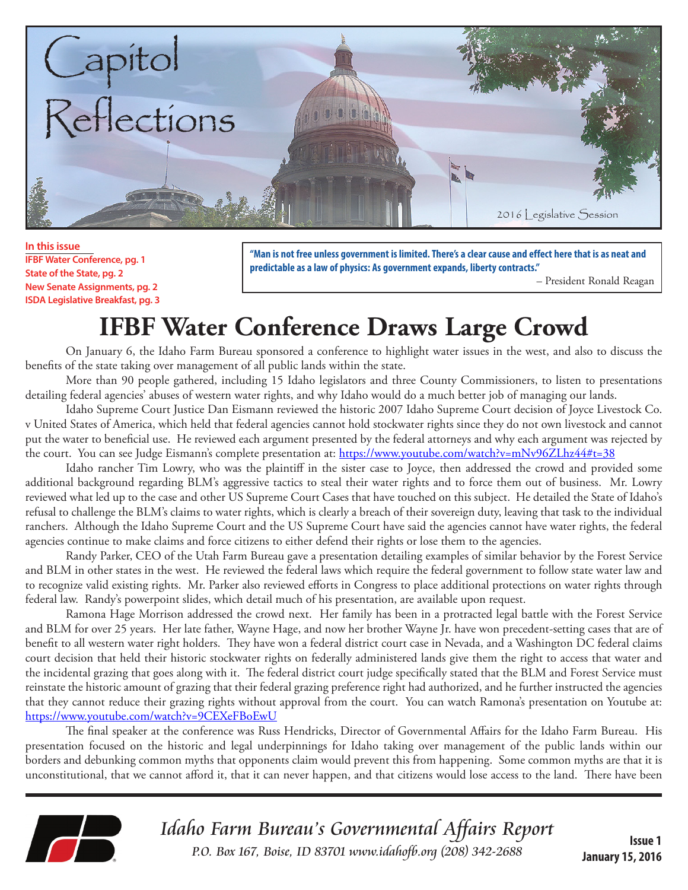

**In this issue IFBF Water Conference, pg. 1 State of the State, pg. 2 New Senate Assignments, pg. 2 ISDA Legislative Breakfast, pg. 3**

**"Man is not free unless government is limited. There's a clear cause and effect here that is as neat and predictable as a law of physics: As government expands, liberty contracts."** 

– President Ronald Reagan

# **IFBF Water Conference Draws Large Crowd**

On January 6, the Idaho Farm Bureau sponsored a conference to highlight water issues in the west, and also to discuss the benefits of the state taking over management of all public lands within the state.

More than 90 people gathered, including 15 Idaho legislators and three County Commissioners, to listen to presentations detailing federal agencies' abuses of western water rights, and why Idaho would do a much better job of managing our lands.

Idaho Supreme Court Justice Dan Eismann reviewed the historic 2007 Idaho Supreme Court decision of Joyce Livestock Co. v United States of America, which held that federal agencies cannot hold stockwater rights since they do not own livestock and cannot put the water to beneficial use. He reviewed each argument presented by the federal attorneys and why each argument was rejected by the court. You can see Judge Eismann's complete presentation at: https://www.youtube.com/watch?v=mNv96ZLhz44#t=38

Idaho rancher Tim Lowry, who was the plaintiff in the sister case to Joyce, then addressed the crowd and provided some additional background regarding BLM's aggressive tactics to steal their water rights and to force them out of business. Mr. Lowry reviewed what led up to the case and other US Supreme Court Cases that have touched on this subject. He detailed the State of Idaho's refusal to challenge the BLM's claims to water rights, which is clearly a breach of their sovereign duty, leaving that task to the individual ranchers. Although the Idaho Supreme Court and the US Supreme Court have said the agencies cannot have water rights, the federal agencies continue to make claims and force citizens to either defend their rights or lose them to the agencies.

Randy Parker, CEO of the Utah Farm Bureau gave a presentation detailing examples of similar behavior by the Forest Service and BLM in other states in the west. He reviewed the federal laws which require the federal government to follow state water law and to recognize valid existing rights. Mr. Parker also reviewed efforts in Congress to place additional protections on water rights through federal law. Randy's powerpoint slides, which detail much of his presentation, are available upon request.

Ramona Hage Morrison addressed the crowd next. Her family has been in a protracted legal battle with the Forest Service and BLM for over 25 years. Her late father, Wayne Hage, and now her brother Wayne Jr. have won precedent-setting cases that are of benefit to all western water right holders. They have won a federal district court case in Nevada, and a Washington DC federal claims court decision that held their historic stockwater rights on federally administered lands give them the right to access that water and the incidental grazing that goes along with it. The federal district court judge specifically stated that the BLM and Forest Service must reinstate the historic amount of grazing that their federal grazing preference right had authorized, and he further instructed the agencies that they cannot reduce their grazing rights without approval from the court. You can watch Ramona's presentation on Youtube at: https://www.youtube.com/watch?v=9CEXeFBoEwU

The final speaker at the conference was Russ Hendricks, Director of Governmental Affairs for the Idaho Farm Bureau. His presentation focused on the historic and legal underpinnings for Idaho taking over management of the public lands within our borders and debunking common myths that opponents claim would prevent this from happening. Some common myths are that it is unconstitutional, that we cannot afford it, that it can never happen, and that citizens would lose access to the land. There have been



Idaho Farm Bureau's Governmental Affairs Report **ISSUE 1**<br>**P.O.** Box 167, Boise, ID 83701 www.idahofb.org (208) 342-2688

**January 15, 2016**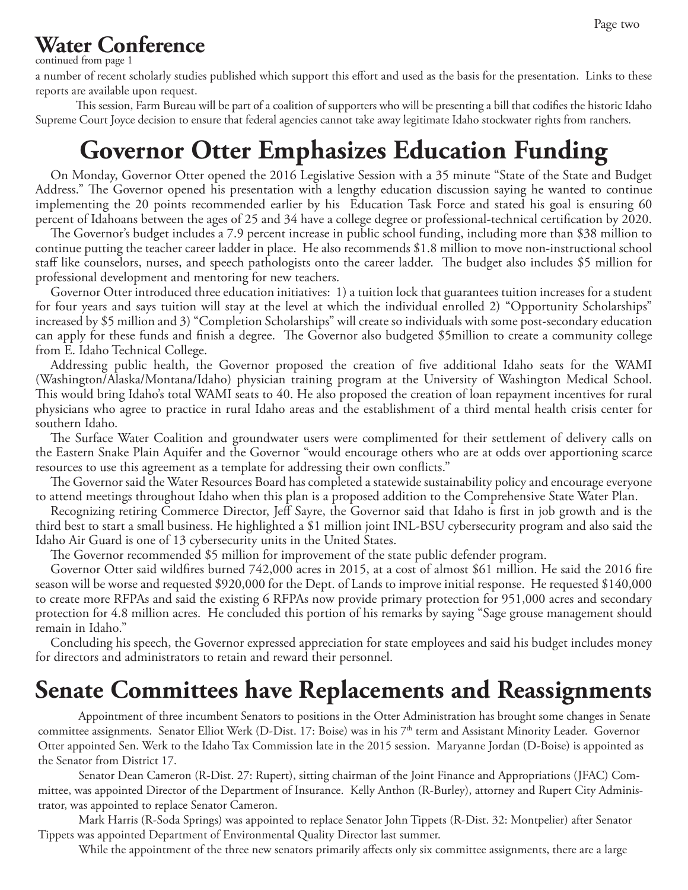### **Water Conference**

continued from page 1

a number of recent scholarly studies published which support this effort and used as the basis for the presentation. Links to these reports are available upon request.

This session, Farm Bureau will be part of a coalition of supporters who will be presenting a bill that codifies the historic Idaho Supreme Court Joyce decision to ensure that federal agencies cannot take away legitimate Idaho stockwater rights from ranchers.

### **Governor Otter Emphasizes Education Funding**

On Monday, Governor Otter opened the 2016 Legislative Session with a 35 minute "State of the State and Budget Address." The Governor opened his presentation with a lengthy education discussion saying he wanted to continue implementing the 20 points recommended earlier by his Education Task Force and stated his goal is ensuring 60 percent of Idahoans between the ages of 25 and 34 have a college degree or professional-technical certification by 2020.

The Governor's budget includes a 7.9 percent increase in public school funding, including more than \$38 million to continue putting the teacher career ladder in place. He also recommends \$1.8 million to move non-instructional school staff like counselors, nurses, and speech pathologists onto the career ladder. The budget also includes \$5 million for professional development and mentoring for new teachers.

Governor Otter introduced three education initiatives: 1) a tuition lock that guarantees tuition increases for a student for four years and says tuition will stay at the level at which the individual enrolled 2) "Opportunity Scholarships" increased by \$5 million and 3) "Completion Scholarships" will create so individuals with some post-secondary education can apply for these funds and finish a degree. The Governor also budgeted \$5million to create a community college from E. Idaho Technical College.

Addressing public health, the Governor proposed the creation of five additional Idaho seats for the WAMI (Washington/Alaska/Montana/Idaho) physician training program at the University of Washington Medical School. This would bring Idaho's total WAMI seats to 40. He also proposed the creation of loan repayment incentives for rural physicians who agree to practice in rural Idaho areas and the establishment of a third mental health crisis center for southern Idaho.

The Surface Water Coalition and groundwater users were complimented for their settlement of delivery calls on the Eastern Snake Plain Aquifer and the Governor "would encourage others who are at odds over apportioning scarce resources to use this agreement as a template for addressing their own conflicts."

The Governor said the Water Resources Board has completed a statewide sustainability policy and encourage everyone to attend meetings throughout Idaho when this plan is a proposed addition to the Comprehensive State Water Plan.

Recognizing retiring Commerce Director, Jeff Sayre, the Governor said that Idaho is first in job growth and is the third best to start a small business. He highlighted a \$1 million joint INL-BSU cybersecurity program and also said the Idaho Air Guard is one of 13 cybersecurity units in the United States.

The Governor recommended \$5 million for improvement of the state public defender program.

Governor Otter said wildfires burned 742,000 acres in 2015, at a cost of almost \$61 million. He said the 2016 fire season will be worse and requested \$920,000 for the Dept. of Lands to improve initial response. He requested \$140,000 to create more RFPAs and said the existing 6 RFPAs now provide primary protection for 951,000 acres and secondary protection for 4.8 million acres. He concluded this portion of his remarks by saying "Sage grouse management should remain in Idaho."

Concluding his speech, the Governor expressed appreciation for state employees and said his budget includes money for directors and administrators to retain and reward their personnel.

#### **Senate Committees have Replacements and Reassignments**

Appointment of three incumbent Senators to positions in the Otter Administration has brought some changes in Senate committee assignments. Senator Elliot Werk (D-Dist. 17: Boise) was in his 7<sup>th</sup> term and Assistant Minority Leader. Governor Otter appointed Sen. Werk to the Idaho Tax Commission late in the 2015 session. Maryanne Jordan (D-Boise) is appointed as the Senator from District 17.

Senator Dean Cameron (R-Dist. 27: Rupert), sitting chairman of the Joint Finance and Appropriations (JFAC) Committee, was appointed Director of the Department of Insurance. Kelly Anthon (R-Burley), attorney and Rupert City Administrator, was appointed to replace Senator Cameron.

Mark Harris (R-Soda Springs) was appointed to replace Senator John Tippets (R-Dist. 32: Montpelier) after Senator Tippets was appointed Department of Environmental Quality Director last summer.

While the appointment of the three new senators primarily affects only six committee assignments, there are a large